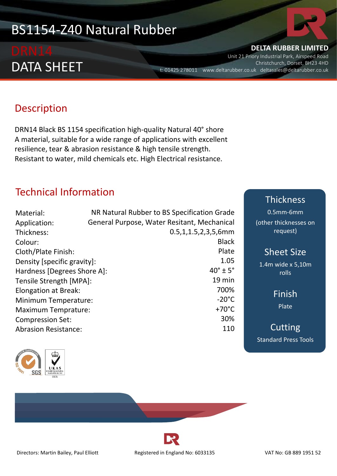# BS1154-Z40 Natural Rubber

# DATA SHEET

# **DELTA RUBBER LIMITED**

Unit 21 Priory Industrial Park, Airspeed Road Christchurch, Dorset, BH23 4HD t: 01425 278011 www.deltarubber.co.uk deltasales@deltarubber.co.uk

## Description

DRN14 Black BS 1154 specification high-quality Natural 40° shore A material, suitable for a wide range of applications with excellent resilience, tear & abrasion resistance & high tensile strength. Resistant to water, mild chemicals etc. High Electrical resistance.

### Technical Information

| Material:                   | NR Natural Rubber to BS Specification Grade |
|-----------------------------|---------------------------------------------|
| Application:                | General Purpose, Water Resitant, Mechanical |
| Thickness:                  | $0.5, 1, 1.5, 2, 3, 5, 6$ mm                |
| Colour:                     | <b>Black</b>                                |
| Cloth/Plate Finish:         | Plate                                       |
| Density [specific gravity]: | 1.05                                        |
| Hardness [Degrees Shore A]: | $40^\circ \pm 5^\circ$                      |
| Tensile Strength [MPA]:     | $19$ min                                    |
| Elongation at Break:        | 700%                                        |
| <b>Minimum Temperature:</b> | $-20^{\circ}$ C                             |
| <b>Maximum Temprature:</b>  | $+70^{\circ}$ C                             |
| <b>Compression Set:</b>     | 30%                                         |
| <b>Abrasion Resistance:</b> | 110                                         |



# Thickness

0.5mm-6mm (other thicknesses on request)

Sheet Size

1.4m wide x 5,10m rolls

> Finish Plate



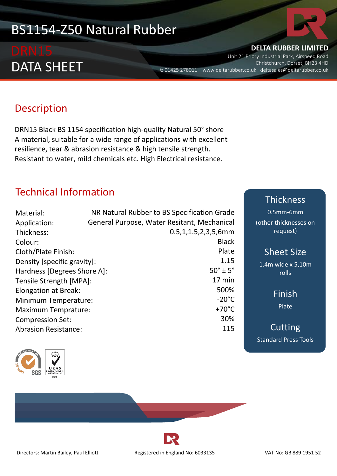# BS1154-Z50 Natural Rubber

# DATA SHEET

# **DELTA RUBBER LIMITED**

Unit 21 Priory Industrial Park, Airspeed Road Christchurch, Dorset, BH23 4HD t: 01425 278011 www.deltarubber.co.uk deltasales@deltarubber.co.uk

# Description

DRN15 Black BS 1154 specification high-quality Natural 50° shore A material, suitable for a wide range of applications with excellent resilience, tear & abrasion resistance & high tensile strength. Resistant to water, mild chemicals etc. High Electrical resistance.

## Technical Information

| Material:                   | NR Natural Rubber to BS Specification Grade |
|-----------------------------|---------------------------------------------|
| Application:                | General Purpose, Water Resitant, Mechanical |
| Thickness:                  | $0.5, 1, 1.5, 2, 3, 5, 6$ mm                |
| Colour:                     | <b>Black</b>                                |
| Cloth/Plate Finish:         | Plate                                       |
| Density [specific gravity]: | 1.15                                        |
| Hardness [Degrees Shore A]: | $50^\circ \pm 5^\circ$                      |
| Tensile Strength [MPA]:     | $17 \text{ min}$                            |
| Elongation at Break:        | 500%                                        |
| Minimum Temperature:        | $-20^{\circ}$ C                             |
| <b>Maximum Temprature:</b>  | $+70^{\circ}$ C                             |
| <b>Compression Set:</b>     | 30%                                         |
| <b>Abrasion Resistance:</b> | 115                                         |



#### Thickness

0.5mm-6mm (other thicknesses on request)

### Sheet Size

1.4m wide x 5,10m rolls

> Finish Plate

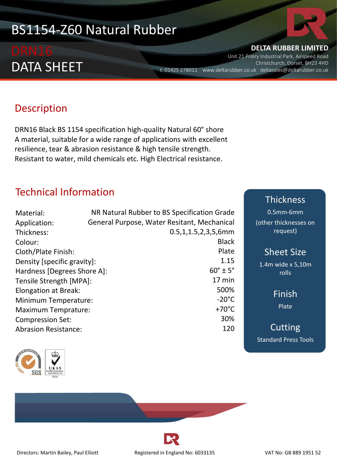# BS1154-Z60 Natural Rubber

# DATA SHEET

# **DELTA RUBBER LIMITED**

Unit 21 Priory Industrial Park, Airspeed Road Christchurch, Dorset, BH23 4HD t: 01425 278011 www.deltarubber.co.uk deltasales@deltarubber.co.uk

# Description

DRN16 Black BS 1154 specification high-quality Natural 60° shore A material, suitable for a wide range of applications with excellent resilience, tear & abrasion resistance & high tensile strength. Resistant to water, mild chemicals etc. High Electrical resistance.

## Technical Information

| Material:                   | NR Natural Rubber to BS Specification Grade |
|-----------------------------|---------------------------------------------|
| Application:                | General Purpose, Water Resitant, Mechanical |
| Thickness:                  | $0.5, 1, 1.5, 2, 3, 5, 6$ mm                |
| Colour:                     | <b>Black</b>                                |
| Cloth/Plate Finish:         | Plate                                       |
| Density [specific gravity]: | 1.15                                        |
| Hardness [Degrees Shore A]: | $60^\circ \pm 5^\circ$                      |
| Tensile Strength [MPA]:     | $17 \text{ min}$                            |
| Elongation at Break:        | 500%                                        |
| Minimum Temperature:        | $-20^{\circ}$ C                             |
| <b>Maximum Temprature:</b>  | $+70^{\circ}$ C                             |
| <b>Compression Set:</b>     | 30%                                         |
| <b>Abrasion Resistance:</b> | 120                                         |



#### Thickness

0.5mm-6mm (other thicknesses on request)

### Sheet Size

1.4m wide x 5,10m rolls

> Finish Plate

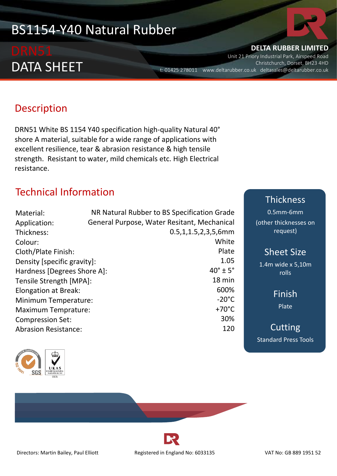# BS1154-Y40 Natural Rubber

# DATA SHEET

#### **DELTA RUBBER LIMITED**

Unit 21 Priory Industrial Park, Airspeed Road Christchurch, Dorset, BH23 4HD t: 01425 278011 www.deltarubber.co.uk deltasales@deltarubber.co.uk

## **Description**

DRN51 White BS 1154 Y40 specification high-quality Natural 40° shore A material, suitable for a wide range of applications with excellent resilience, tear & abrasion resistance & high tensile strength. Resistant to water, mild chemicals etc. High Electrical resistance.

## Technical Information

| Material:                   | NR Natural Rubber to BS Specification Grade |
|-----------------------------|---------------------------------------------|
| Application:                | General Purpose, Water Resitant, Mechanical |
| Thickness:                  | $0.5, 1, 1.5, 2, 3, 5, 6$ mm                |
| Colour:                     | White                                       |
| Cloth/Plate Finish:         | Plate                                       |
| Density [specific gravity]: | 1.05                                        |
| Hardness [Degrees Shore A]: | $40^\circ \pm 5^\circ$                      |
| Tensile Strength [MPA]:     | 18 min                                      |
| Elongation at Break:        | 600%                                        |
| <b>Minimum Temperature:</b> | $-20^{\circ}$ C                             |
| <b>Maximum Temprature:</b>  | $+70^{\circ}$ C                             |
| <b>Compression Set:</b>     | 30%                                         |
| <b>Abrasion Resistance:</b> | 120                                         |



# Thickness

0.5mm-6mm (other thicknesses on request)

### Sheet Size

1.4m wide x 5,10m rolls

> Finish Plate

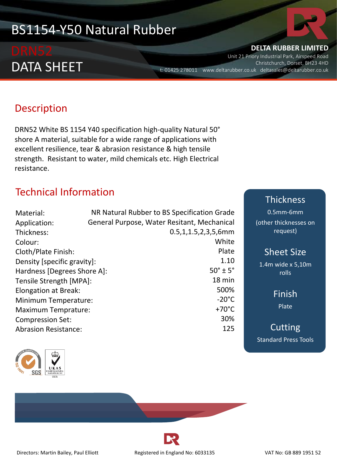# BS1154-Y50 Natural Rubber

# DATA SHEET

**DELTA RUBBER LIMITED**

Unit 21 Priory Industrial Park, Airspeed Road Christchurch, Dorset, BH23 4HD t: 01425 278011 www.deltarubber.co.uk deltasales@deltarubber.co.uk

# Description

DRN52 White BS 1154 Y40 specification high-quality Natural 50° shore A material, suitable for a wide range of applications with excellent resilience, tear & abrasion resistance & high tensile strength. Resistant to water, mild chemicals etc. High Electrical resistance.

# Technical Information

| Material:                   | NR Natural Rubber to BS Specification Grade |
|-----------------------------|---------------------------------------------|
| Application:                | General Purpose, Water Resitant, Mechanical |
| Thickness:                  | $0.5, 1, 1.5, 2, 3, 5, 6$ mm                |
| Colour:                     | White                                       |
| Cloth/Plate Finish:         | Plate                                       |
| Density [specific gravity]: | 1.10                                        |
| Hardness [Degrees Shore A]: | $50^\circ \pm 5^\circ$                      |
| Tensile Strength [MPA]:     | 18 min                                      |
| Elongation at Break:        | 500%                                        |
| <b>Minimum Temperature:</b> | $-20^{\circ}$ C                             |
| <b>Maximum Temprature:</b>  | $+70^{\circ}$ C                             |
| <b>Compression Set:</b>     | 30%                                         |
| <b>Abrasion Resistance:</b> | 125                                         |



# Thickness

0.5mm-6mm (other thicknesses on request)

### Sheet Size

1.4m wide x 5,10m rolls

> Finish Plate